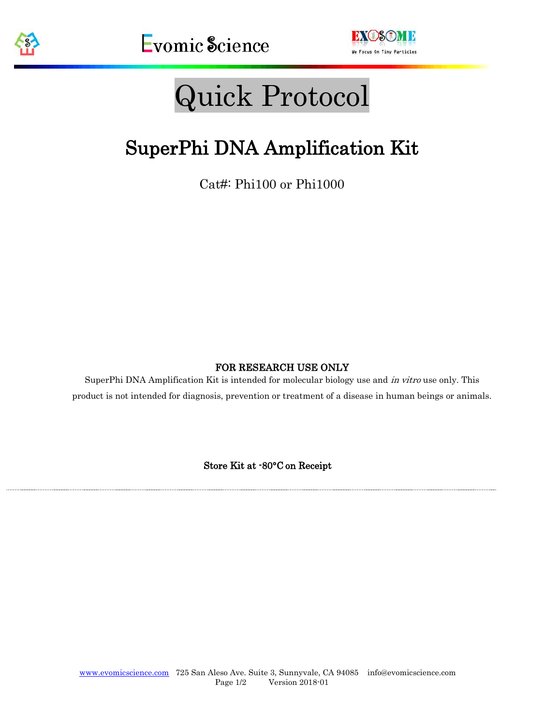



# Quick Protocol

# SuperPhi DNA Amplification Kit

Cat#: Phi100 or Phi1000

#### FOR RESEARCH USE ONLY

SuperPhi DNA Amplification Kit is intended for molecular biology use and in vitro use only. This product is not intended for diagnosis, prevention or treatment of a disease in human beings or animals.

Store Kit at -80°C on Receipt